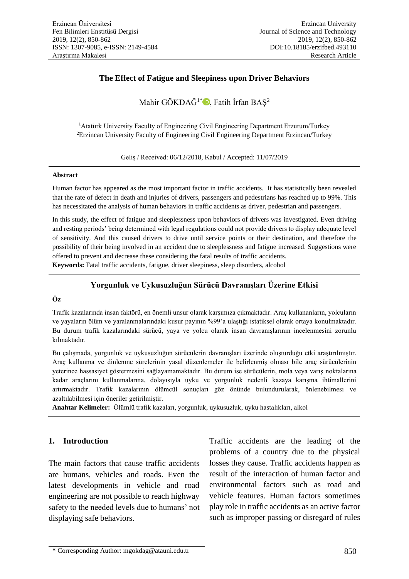## **The Effect of Fatigue and Sleepiness upon Driver Behaviors**

Mahir GÖKDAĞ<sup>1\*</sup> $\mathbb{D}$ , Fatih İrfan BAŞ<sup>2</sup>

<sup>1</sup> Atatürk University Faculty of Engineering Civil Engineering Department Erzurum/Turkey <sup>2</sup>Erzincan University Faculty of Engineering Civil Engineering Department Erzincan/Turkey

Geliş / Received: 06/12/2018, Kabul / Accepted: 11/07/2019

### **Abstract**

Human factor has appeared as the most important factor in traffic accidents. It has statistically been revealed that the rate of defect in death and injuries of drivers, passengers and pedestrians has reached up to 99%. This has necessitated the analysis of human behaviors in traffic accidents as driver, pedestrian and passengers.

In this study, the effect of fatigue and sleeplessness upon behaviors of drivers was investigated. Even driving and resting periods' being determined with legal regulations could not provide drivers to display adequate level of sensitivity. And this caused drivers to drive until service points or their destination, and therefore the possibility of their being involved in an accident due to sleeplessness and fatigue increased. Suggestions were offered to prevent and decrease these considering the fatal results of traffic accidents.

**Keywords:** Fatal traffic accidents, fatigue, driver sleepiness, sleep disorders, alcohol

## **Yorgunluk ve Uykusuzluğun Sürücü Davranışları Üzerine Etkisi**

## **Öz**

Trafik kazalarında insan faktörü, en önemli unsur olarak karşımıza çıkmaktadır. Araç kullananların, yolcuların ve yayaların ölüm ve yaralanmalarındaki kusur payının %99'a ulaştığı istatiksel olarak ortaya konulmaktadır. Bu durum trafik kazalarındaki sürücü, yaya ve yolcu olarak insan davranışlarının incelenmesini zorunlu kılmaktadır.

Bu çalışmada, yorgunluk ve uykusuzluğun sürücülerin davranışları üzerinde oluşturduğu etki araştırılmıştır. Araç kullanma ve dinlenme sürelerinin yasal düzenlemeler ile belirlenmiş olması bile araç sürücülerinin yeterince hassasiyet göstermesini sağlayamamaktadır. Bu durum ise sürücülerin, mola veya varış noktalarına kadar araçlarını kullanmalarına, dolayısıyla uyku ve yorgunluk nedenli kazaya karışma ihtimallerini artırmaktadır. Trafik kazalarının ölümcül sonuçları göz önünde bulundurularak, önlenebilmesi ve azaltılabilmesi için öneriler getirilmiştir.

**Anahtar Kelimeler:** Ölümlü trafik kazaları, yorgunluk, uykusuzluk, uyku hastalıkları, alkol

## **1. Introduction**

The main factors that cause traffic accidents are humans, vehicles and roads. Even the latest developments in vehicle and road engineering are not possible to reach highway safety to the needed levels due to humans' not displaying safe behaviors.

Traffic accidents are the leading of the problems of a country due to the physical losses they cause. Traffic accidents happen as result of the interaction of human factor and environmental factors such as road and vehicle features. Human factors sometimes play role in traffic accidents as an active factor such as improper passing or disregard of rules

**<sup>\*</sup>** Corresponding Author: mgokdag@atauni.edu.tr 850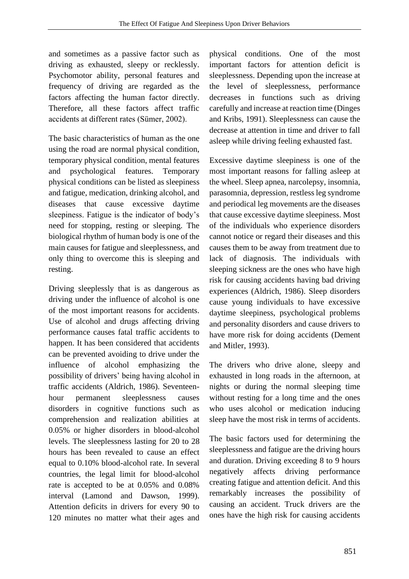and sometimes as a passive factor such as driving as exhausted, sleepy or recklessly. Psychomotor ability, personal features and frequency of driving are regarded as the factors affecting the human factor directly. Therefore, all these factors affect traffic accidents at different rates (Sümer, 2002).

The basic characteristics of human as the one using the road are normal physical condition, temporary physical condition, mental features and psychological features. Temporary physical conditions can be listed as sleepiness and fatigue, medication, drinking alcohol, and diseases that cause excessive daytime sleepiness. Fatigue is the indicator of body's need for stopping, resting or sleeping. The biological rhythm of human body is one of the main causes for fatigue and sleeplessness, and only thing to overcome this is sleeping and resting.

Driving sleeplessly that is as dangerous as driving under the influence of alcohol is one of the most important reasons for accidents. Use of alcohol and drugs affecting driving performance causes fatal traffic accidents to happen. It has been considered that accidents can be prevented avoiding to drive under the influence of alcohol emphasizing the possibility of drivers' being having alcohol in traffic accidents (Aldrich, 1986). Seventeenhour permanent sleeplessness causes disorders in cognitive functions such as comprehension and realization abilities at 0.05% or higher disorders in blood-alcohol levels. The sleeplessness lasting for 20 to 28 hours has been revealed to cause an effect equal to 0.10% blood-alcohol rate. In several countries, the legal limit for blood-alcohol rate is accepted to be at 0.05% and 0.08% interval (Lamond and Dawson, 1999). Attention deficits in drivers for every 90 to 120 minutes no matter what their ages and

physical conditions. One of the most important factors for attention deficit is sleeplessness. Depending upon the increase at the level of sleeplessness, performance decreases in functions such as driving carefully and increase at reaction time (Dinges and Kribs, 1991). Sleeplessness can cause the decrease at attention in time and driver to fall asleep while driving feeling exhausted fast.

Excessive daytime sleepiness is one of the most important reasons for falling asleep at the wheel. Sleep apnea, narcolepsy, insomnia, parasomnia, depression, restless leg syndrome and periodical leg movements are the diseases that cause excessive daytime sleepiness. Most of the individuals who experience disorders cannot notice or regard their diseases and this causes them to be away from treatment due to lack of diagnosis. The individuals with sleeping sickness are the ones who have high risk for causing accidents having bad driving experiences (Aldrich, 1986). Sleep disorders cause young individuals to have excessive daytime sleepiness, psychological problems and personality disorders and cause drivers to have more risk for doing accidents (Dement and Mitler, 1993).

The drivers who drive alone, sleepy and exhausted in long roads in the afternoon, at nights or during the normal sleeping time without resting for a long time and the ones who uses alcohol or medication inducing sleep have the most risk in terms of accidents.

The basic factors used for determining the sleeplessness and fatigue are the driving hours and duration. Driving exceeding 8 to 9 hours negatively affects driving performance creating fatigue and attention deficit. And this remarkably increases the possibility of causing an accident. Truck drivers are the ones have the high risk for causing accidents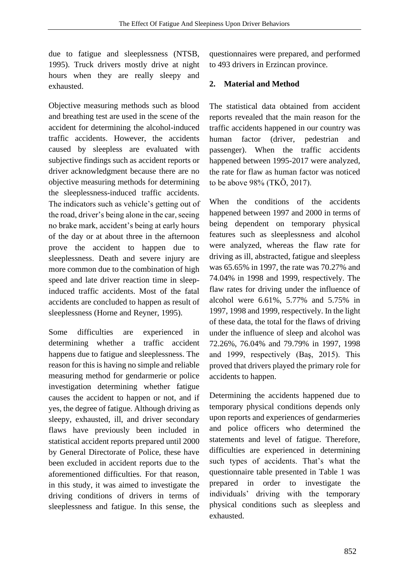due to fatigue and sleeplessness (NTSB, 1995). Truck drivers mostly drive at night hours when they are really sleepy and exhausted.

Objective measuring methods such as blood and breathing test are used in the scene of the accident for determining the alcohol-induced traffic accidents. However, the accidents caused by sleepless are evaluated with subjective findings such as accident reports or driver acknowledgment because there are no objective measuring methods for determining the sleeplessness-induced traffic accidents. The indicators such as vehicle's getting out of the road, driver's being alone in the car, seeing no brake mark, accident's being at early hours of the day or at about three in the afternoon prove the accident to happen due to sleeplessness. Death and severe injury are more common due to the combination of high speed and late driver reaction time in sleepinduced traffic accidents. Most of the fatal accidents are concluded to happen as result of sleeplessness (Horne and Reyner, 1995).

Some difficulties are experienced in determining whether a traffic accident happens due to fatigue and sleeplessness. The reason for this is having no simple and reliable measuring method for gendarmerie or police investigation determining whether fatigue causes the accident to happen or not, and if yes, the degree of fatigue. Although driving as sleepy, exhausted, ill, and driver secondary flaws have previously been included in statistical accident reports prepared until 2000 by General Directorate of Police, these have been excluded in accident reports due to the aforementioned difficulties. For that reason, in this study, it was aimed to investigate the driving conditions of drivers in terms of sleeplessness and fatigue. In this sense, the

questionnaires were prepared, and performed to 493 drivers in Erzincan province.

# **2. Material and Method**

The statistical data obtained from accident reports revealed that the main reason for the traffic accidents happened in our country was human factor (driver, pedestrian and passenger). When the traffic accidents happened between 1995-2017 were analyzed, the rate for flaw as human factor was noticed to be above 98% (TKÖ, 2017).

When the conditions of the accidents happened between 1997 and 2000 in terms of being dependent on temporary physical features such as sleeplessness and alcohol were analyzed, whereas the flaw rate for driving as ill, abstracted, fatigue and sleepless was 65.65% in 1997, the rate was 70.27% and 74.04% in 1998 and 1999, respectively. The flaw rates for driving under the influence of alcohol were 6.61%, 5.77% and 5.75% in 1997, 1998 and 1999, respectively. In the light of these data, the total for the flaws of driving under the influence of sleep and alcohol was 72.26%, 76.04% and 79.79% in 1997, 1998 and 1999, respectively (Baş, 2015). This proved that drivers played the primary role for accidents to happen.

Determining the accidents happened due to temporary physical conditions depends only upon reports and experiences of gendarmeries and police officers who determined the statements and level of fatigue. Therefore, difficulties are experienced in determining such types of accidents. That's what the questionnaire table presented in Table 1 was prepared in order to investigate the individuals' driving with the temporary physical conditions such as sleepless and exhausted.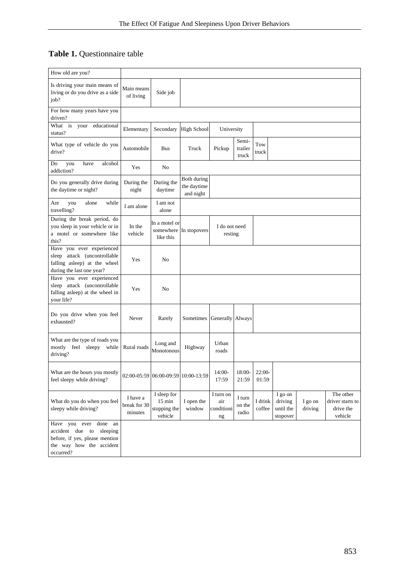# **Table 1.** Questionnaire table

| How old are you?                                                                                                                   |                                     |                                                            |                                         |                                            |                           |                   |                                             |                    |                                                       |
|------------------------------------------------------------------------------------------------------------------------------------|-------------------------------------|------------------------------------------------------------|-----------------------------------------|--------------------------------------------|---------------------------|-------------------|---------------------------------------------|--------------------|-------------------------------------------------------|
| Is driving your main means of<br>living or do you drive as a side<br>job?                                                          | Main means<br>of living             | Side job                                                   |                                         |                                            |                           |                   |                                             |                    |                                                       |
| For how many years have you<br>driven?                                                                                             |                                     |                                                            |                                         |                                            |                           |                   |                                             |                    |                                                       |
| What is<br>your<br>educational<br>status?                                                                                          | Elementary                          | Secondary                                                  | High School                             | University                                 |                           |                   |                                             |                    |                                                       |
| What type of vehicle do you<br>drive?                                                                                              | Automobile                          | <b>Bus</b>                                                 | Truck                                   | Pickup                                     | Semi-<br>trailer<br>truck | Tow<br>truck      |                                             |                    |                                                       |
| alcohol<br>Do<br>you<br>have<br>addiction?                                                                                         | Yes                                 | No                                                         |                                         |                                            |                           |                   |                                             |                    |                                                       |
| Do you generally drive during<br>the daytime or night?                                                                             | During the<br>night                 | During the<br>daytime                                      | Both during<br>the daytime<br>and night |                                            |                           |                   |                                             |                    |                                                       |
| alone<br>while<br>Are<br>you<br>travelling?                                                                                        | I am alone                          | I am not<br>alone                                          |                                         |                                            |                           |                   |                                             |                    |                                                       |
| During the break period, do<br>you sleep in your vehicle or in<br>a motel or somewhere like<br>this?                               | In the<br>vehicle                   | In a motel or<br>somewhere<br>like this                    | In stopovers                            | I do not need<br>resting                   |                           |                   |                                             |                    |                                                       |
| Have you ever experienced<br>sleep attack (uncontrollable<br>falling asleep) at the wheel<br>during the last one year?             | Yes                                 | No                                                         |                                         |                                            |                           |                   |                                             |                    |                                                       |
| Have you ever experienced<br>sleep attack (uncontrollable<br>falling asleep) at the wheel in<br>your life?                         | Yes                                 | N <sub>0</sub>                                             |                                         |                                            |                           |                   |                                             |                    |                                                       |
| Do you drive when you feel<br>exhausted?                                                                                           | Never                               | Rarely                                                     | Sometimes                               | Generally Always                           |                           |                   |                                             |                    |                                                       |
| What are the type of roads you<br>mostly feel sleepy while<br>driving?                                                             | Rural roads                         | Long and<br>Monotonous                                     | Highway                                 | Urban<br>roads                             |                           |                   |                                             |                    |                                                       |
| What are the hours you mostly $\Big  02:00-05:59 \Big  06:00-09:59 \Big  10:00-13:59$<br>feel sleepy while driving?                |                                     |                                                            |                                         | $14:00-$<br>17:59                          | 18:00-<br>21:59           | $22:00-$<br>01:59 |                                             |                    |                                                       |
| What do you do when you feel<br>sleepy while driving?                                                                              | I have a<br>break for 30<br>minutes | I sleep for<br>$15 \text{ min}$<br>stopping the<br>vehicle | I open the<br>window                    | I turn on<br>air<br>conditioni<br>$\rm ng$ | I turn<br>on the<br>radio | I drink<br>coffee | I go on<br>driving<br>until the<br>stopover | I go on<br>driving | The other<br>driver starts to<br>drive the<br>vehicle |
| Have you ever done<br>an<br>accident due to<br>sleeping<br>before, if yes, please mention<br>the way how the accident<br>occurred? |                                     |                                                            |                                         |                                            |                           |                   |                                             |                    |                                                       |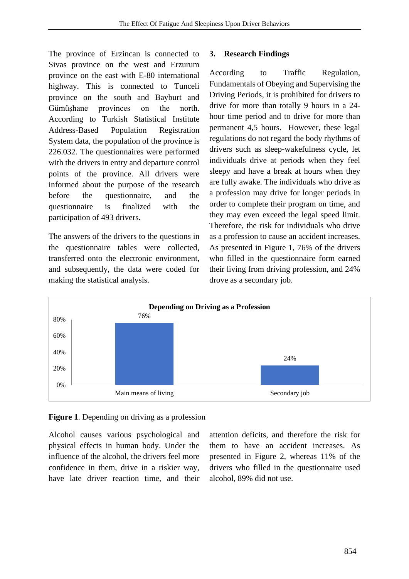The province of Erzincan is connected to Sivas province on the west and Erzurum province on the east with E-80 international highway. This is connected to Tunceli province on the south and Bayburt and Gümüşhane provinces on the north. According to Turkish Statistical Institute Address-Based Population Registration System data, the population of the province is 226.032. The questionnaires were performed with the drivers in entry and departure control points of the province. All drivers were informed about the purpose of the research before the questionnaire, and the questionnaire is finalized with the participation of 493 drivers.

The answers of the drivers to the questions in the questionnaire tables were collected, transferred onto the electronic environment, and subsequently, the data were coded for making the statistical analysis.

## **3. Research Findings**

According to Traffic Regulation, Fundamentals of Obeying and Supervising the Driving Periods, it is prohibited for drivers to drive for more than totally 9 hours in a 24 hour time period and to drive for more than permanent 4,5 hours. However, these legal regulations do not regard the body rhythms of drivers such as sleep-wakefulness cycle, let individuals drive at periods when they feel sleepy and have a break at hours when they are fully awake. The individuals who drive as a profession may drive for longer periods in order to complete their program on time, and they may even exceed the legal speed limit. Therefore, the risk for individuals who drive as a profession to cause an accident increases. As presented in Figure 1, 76% of the drivers who filled in the questionnaire form earned their living from driving profession, and 24% drove as a secondary job.



# **Figure 1**. Depending on driving as a profession

Alcohol causes various psychological and physical effects in human body. Under the influence of the alcohol, the drivers feel more confidence in them, drive in a riskier way, have late driver reaction time, and their

attention deficits, and therefore the risk for them to have an accident increases. As presented in Figure 2, whereas 11% of the drivers who filled in the questionnaire used alcohol, 89% did not use.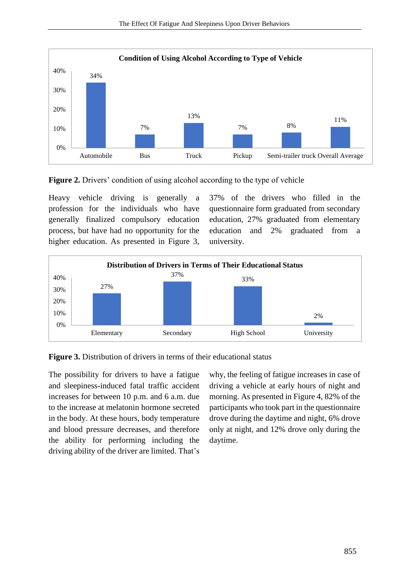

**Figure 2.** Drivers' condition of using alcohol according to the type of vehicle

Heavy vehicle driving is generally a profession for the individuals who have generally finalized compulsory education process, but have had no opportunity for the higher education. As presented in Figure 3,

37% of the drivers who filled in the questionnaire form graduated from secondary education, 27% graduated from elementary education and 2% graduated from a university.



**Figure 3.** Distribution of drivers in terms of their educational status

The possibility for drivers to have a fatigue and sleepiness-induced fatal traffic accident increases for between 10 p.m. and 6 a.m. due to the increase at melatonin hormone secreted in the body. At these hours, body temperature and blood pressure decreases, and therefore the ability for performing including the driving ability of the driver are limited. That's

why, the feeling of fatigue increases in case of driving a vehicle at early hours of night and morning. As presented in Figure 4, 82% of the participants who took part in the questionnaire drove during the daytime and night, 6% drove only at night, and 12% drove only during the daytime.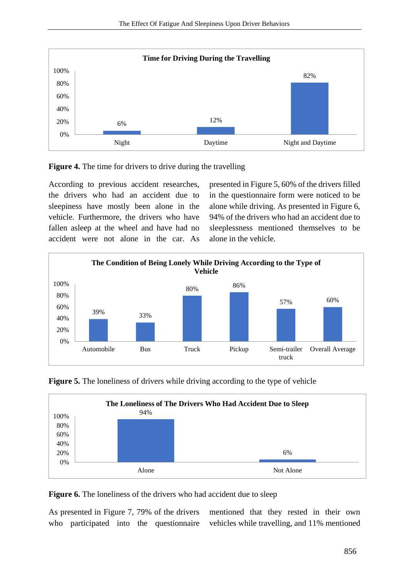



According to previous accident researches, the drivers who had an accident due to sleepiness have mostly been alone in the vehicle. Furthermore, the drivers who have fallen asleep at the wheel and have had no accident were not alone in the car. As

presented in Figure 5, 60% of the drivers filled in the questionnaire form were noticed to be alone while driving. As presented in Figure 6, 94% of the drivers who had an accident due to sleeplessness mentioned themselves to be alone in the vehicle.







**Figure 6.** The loneliness of the drivers who had accident due to sleep

As presented in Figure 7, 79% of the drivers who participated into the questionnaire

mentioned that they rested in their own vehicles while travelling, and 11% mentioned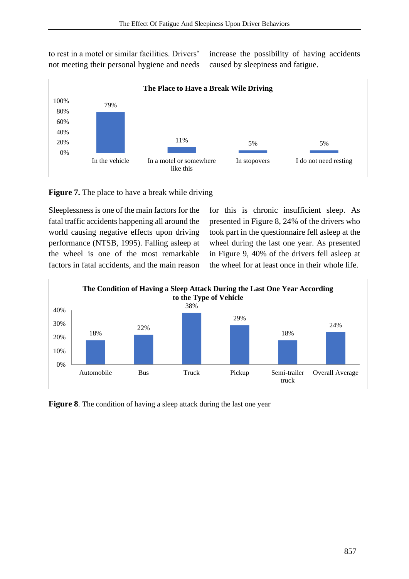to rest in a motel or similar facilities. Drivers' not meeting their personal hygiene and needs increase the possibility of having accidents caused by sleepiness and fatigue.



**Figure 7.** The place to have a break while driving

Sleeplessness is one of the main factors for the fatal traffic accidents happening all around the world causing negative effects upon driving performance (NTSB, 1995). Falling asleep at the wheel is one of the most remarkable factors in fatal accidents, and the main reason for this is chronic insufficient sleep. As presented in Figure 8, 24% of the drivers who took part in the questionnaire fell asleep at the wheel during the last one year. As presented in Figure 9, 40% of the drivers fell asleep at the wheel for at least once in their whole life.



**Figure 8.** The condition of having a sleep attack during the last one year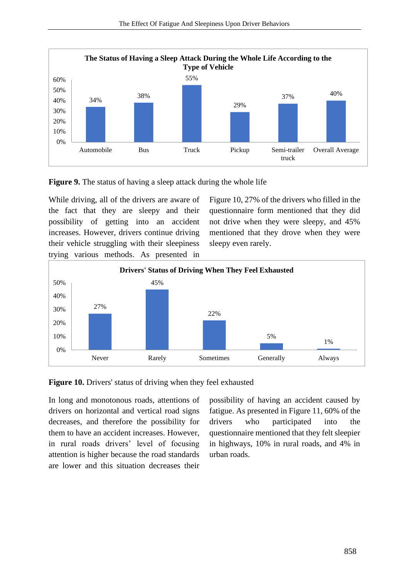



While driving, all of the drivers are aware of the fact that they are sleepy and their possibility of getting into an accident increases. However, drivers continue driving their vehicle struggling with their sleepiness trying various methods. As presented in

Figure 10, 27% of the drivers who filled in the questionnaire form mentioned that they did not drive when they were sleepy, and 45% mentioned that they drove when they were sleepy even rarely.





In long and monotonous roads, attentions of drivers on horizontal and vertical road signs decreases, and therefore the possibility for them to have an accident increases. However, in rural roads drivers' level of focusing attention is higher because the road standards are lower and this situation decreases their

possibility of having an accident caused by fatigue. As presented in Figure 11, 60% of the drivers who participated into the questionnaire mentioned that they felt sleepier in highways, 10% in rural roads, and 4% in urban roads.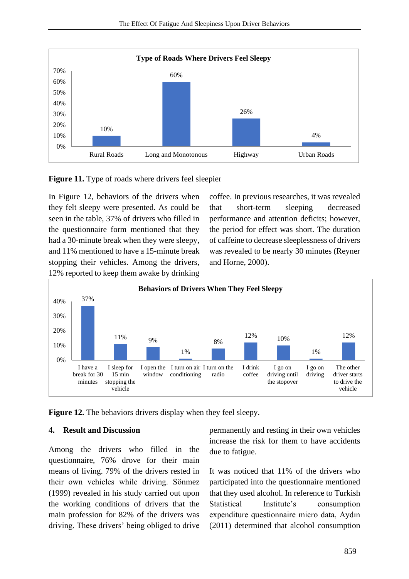

**Figure 11.** Type of roads where drivers feel sleepier

In Figure 12, behaviors of the drivers when they felt sleepy were presented. As could be seen in the table, 37% of drivers who filled in the questionnaire form mentioned that they had a 30-minute break when they were sleepy, and 11% mentioned to have a 15-minute break stopping their vehicles. Among the drivers, 12% reported to keep them awake by drinking coffee. In previous researches, it was revealed that short-term sleeping decreased performance and attention deficits; however, the period for effect was short. The duration of caffeine to decrease sleeplessness of drivers was revealed to be nearly 30 minutes (Reyner and Horne, 2000).



**Figure 12.** The behaviors drivers display when they feel sleepy.

### **4. Result and Discussion**

Among the drivers who filled in the questionnaire, 76% drove for their main means of living. 79% of the drivers rested in their own vehicles while driving. Sönmez (1999) revealed in his study carried out upon the working conditions of drivers that the main profession for 82% of the drivers was driving. These drivers' being obliged to drive permanently and resting in their own vehicles increase the risk for them to have accidents due to fatigue.

It was noticed that 11% of the drivers who participated into the questionnaire mentioned that they used alcohol. In reference to Turkish Statistical Institute's consumption expenditure questionnaire micro data, Aydın (2011) determined that alcohol consumption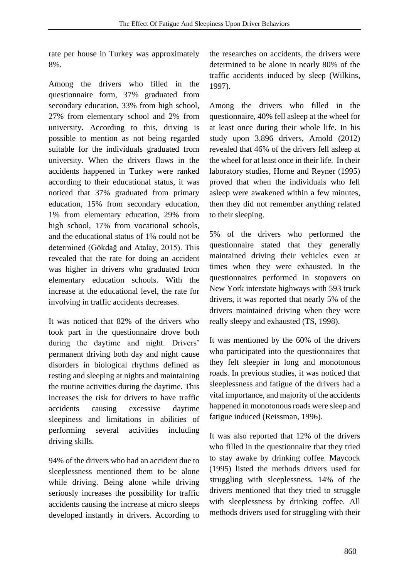rate per house in Turkey was approximately 8%.

Among the drivers who filled in the questionnaire form, 37% graduated from secondary education, 33% from high school, 27% from elementary school and 2% from university. According to this, driving is possible to mention as not being regarded suitable for the individuals graduated from university. When the drivers flaws in the accidents happened in Turkey were ranked according to their educational status, it was noticed that 37% graduated from primary education, 15% from secondary education, 1% from elementary education, 29% from high school, 17% from vocational schools, and the educational status of 1% could not be determined (Gökdağ and Atalay, 2015). This revealed that the rate for doing an accident was higher in drivers who graduated from elementary education schools. With the increase at the educational level, the rate for involving in traffic accidents decreases.

It was noticed that 82% of the drivers who took part in the questionnaire drove both during the daytime and night. Drivers' permanent driving both day and night cause disorders in biological rhythms defined as resting and sleeping at nights and maintaining the routine activities during the daytime. This increases the risk for drivers to have traffic accidents causing excessive daytime sleepiness and limitations in abilities of performing several activities including driving skills.

94% of the drivers who had an accident due to sleeplessness mentioned them to be alone while driving. Being alone while driving seriously increases the possibility for traffic accidents causing the increase at micro sleeps developed instantly in drivers. According to the researches on accidents, the drivers were determined to be alone in nearly 80% of the traffic accidents induced by sleep (Wilkins, 1997).

Among the drivers who filled in the questionnaire, 40% fell asleep at the wheel for at least once during their whole life. In his study upon 3.896 drivers, Arnold (2012) revealed that 46% of the drivers fell asleep at the wheel for at least once in their life. In their laboratory studies, Horne and Reyner (1995) proved that when the individuals who fell asleep were awakened within a few minutes, then they did not remember anything related to their sleeping.

5% of the drivers who performed the questionnaire stated that they generally maintained driving their vehicles even at times when they were exhausted. In the questionnaires performed in stopovers on New York interstate highways with 593 truck drivers, it was reported that nearly 5% of the drivers maintained driving when they were really sleepy and exhausted (TS, 1998).

It was mentioned by the 60% of the drivers who participated into the questionnaires that they felt sleepier in long and monotonous roads. In previous studies, it was noticed that sleeplessness and fatigue of the drivers had a vital importance, and majority of the accidents happened in monotonous roads were sleep and fatigue induced (Reissman, 1996).

It was also reported that 12% of the drivers who filled in the questionnaire that they tried to stay awake by drinking coffee. Maycock (1995) listed the methods drivers used for struggling with sleeplessness. 14% of the drivers mentioned that they tried to struggle with sleeplessness by drinking coffee. All methods drivers used for struggling with their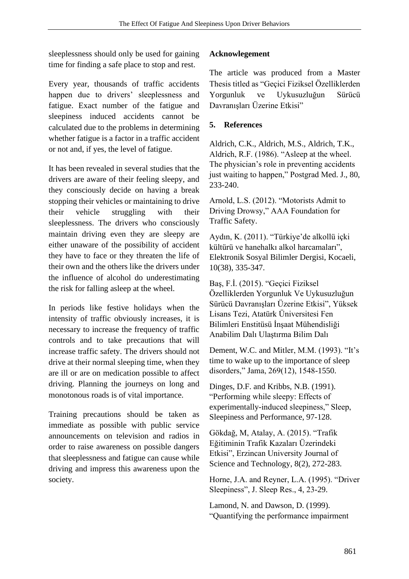sleeplessness should only be used for gaining time for finding a safe place to stop and rest.

Every year, thousands of traffic accidents happen due to drivers' sleeplessness and fatigue. Exact number of the fatigue and sleepiness induced accidents cannot be calculated due to the problems in determining whether fatigue is a factor in a traffic accident or not and, if yes, the level of fatigue.

It has been revealed in several studies that the drivers are aware of their feeling sleepy, and they consciously decide on having a break stopping their vehicles or maintaining to drive their vehicle struggling with their sleeplessness. The drivers who consciously maintain driving even they are sleepy are either unaware of the possibility of accident they have to face or they threaten the life of their own and the others like the drivers under the influence of alcohol do underestimating the risk for falling asleep at the wheel.

In periods like festive holidays when the intensity of traffic obviously increases, it is necessary to increase the frequency of traffic controls and to take precautions that will increase traffic safety. The drivers should not drive at their normal sleeping time, when they are ill or are on medication possible to affect driving. Planning the journeys on long and monotonous roads is of vital importance.

Training precautions should be taken as immediate as possible with public service announcements on television and radios in order to raise awareness on possible dangers that sleeplessness and fatigue can cause while driving and impress this awareness upon the society.

## **Acknowlegement**

The article was produced from a Master Thesis titled as "Geçici Fiziksel Özelliklerden Yorgunluk ve Uykusuzluğun Sürücü Davranışları Üzerine Etkisi"

## **5. References**

Aldrich, C.K., Aldrich, M.S., Aldrich, T.K., Aldrich, R.F. (1986). "Asleep at the wheel. The physician's role in preventing accidents just waiting to happen," Postgrad Med. J., 80, 233-240.

Arnold, L.S. (2012). "Motorists Admit to Driving Drowsy," AAA Foundation for Traffic Safety.

Aydın, K. (2011). "Türkiye'de alkollü içki kültürü ve hanehalkı alkol harcamaları", Elektronik Sosyal Bilimler Dergisi, Kocaeli, 10(38), 335-347.

Baş, F.İ. (2015). "Geçici Fiziksel Özelliklerden Yorgunluk Ve Uykusuzluğun Sürücü Davranışları Üzerine Etkisi", Yüksek Lisans Tezi, Atatürk Üniversitesi Fen Bilimleri Enstitüsü İnşaat Mühendisliği Anabilim Dalı Ulaştırma Bilim Dalı

Dement, W.C. and Mitler, M.M. (1993). "It's time to wake up to the importance of sleep disorders," Jama, 269(12), 1548-1550.

Dinges, D.F. and Kribbs, N.B. (1991). "Performing while sleepy: Effects of experimentally-induced sleepiness," Sleep, Sleepiness and Performance, 97-128.

Gökdağ, M, Atalay, A. (2015). "Trafik Eğitiminin Trafik Kazaları Üzerindeki Etkisi", Erzincan University Journal of Science and Technology, 8(2), 272-283.

Horne, J.A. and Reyner, L.A. (1995). "Driver Sleepiness", J. Sleep Res., 4, 23-29.

Lamond, N. and Dawson, D. (1999). "Quantifying the performance impairment